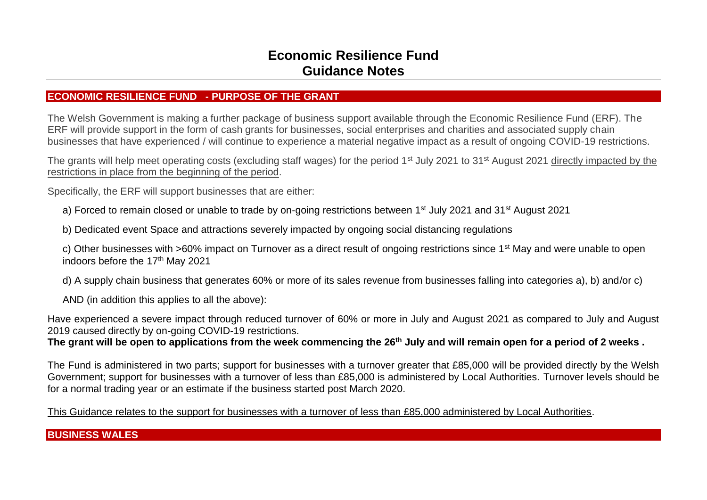# **Economic Resilience Fund Guidance Notes**

#### **ECONOMIC RESILIENCE FUND - PURPOSE OF THE GRANT**

The Welsh Government is making a further package of business support available through the Economic Resilience Fund (ERF). The ERF will provide support in the form of cash grants for businesses, social enterprises and charities and associated supply chain businesses that have experienced / will continue to experience a material negative impact as a result of ongoing COVID-19 restrictions.

The grants will help meet operating costs (excluding staff wages) for the period 1<sup>st</sup> July 2021 to 31<sup>st</sup> August 2021 directly impacted by the restrictions in place from the beginning of the period.

Specifically, the ERF will support businesses that are either:

a) Forced to remain closed or unable to trade by on-going restrictions between 1<sup>st</sup> July 2021 and 31<sup>st</sup> August 2021

b) Dedicated event Space and attractions severely impacted by ongoing social distancing regulations

c) Other businesses with >60% impact on Turnover as a direct result of ongoing restrictions since 1<sup>st</sup> May and were unable to open indoors before the 17<sup>th</sup> May 2021

d) A supply chain business that generates 60% or more of its sales revenue from businesses falling into categories a), b) and/or c)

AND (in addition this applies to all the above):

Have experienced a severe impact through reduced turnover of 60% or more in July and August 2021 as compared to July and August 2019 caused directly by on-going COVID-19 restrictions.

**The grant will be open to applications from the week commencing the 26th July and will remain open for a period of 2 weeks .**

The Fund is administered in two parts; support for businesses with a turnover greater that £85,000 will be provided directly by the Welsh Government; support for businesses with a turnover of less than £85,000 is administered by Local Authorities. Turnover levels should be for a normal trading year or an estimate if the business started post March 2020.

This Guidance relates to the support for businesses with a turnover of less than £85,000 administered by Local Authorities.

**BUSINESS WALES**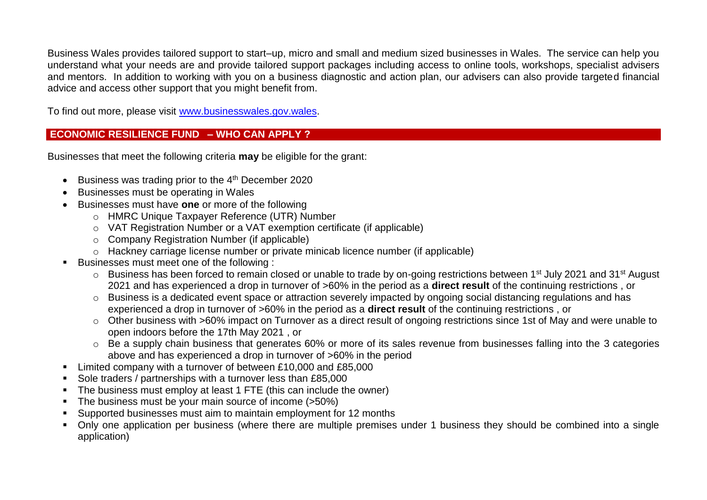Business Wales provides tailored support to start–up, micro and small and medium sized businesses in Wales. The service can help you understand what your needs are and provide tailored support packages including access to online tools, workshops, specialist advisers and mentors. In addition to working with you on a business diagnostic and action plan, our advisers can also provide targeted financial advice and access other support that you might benefit from.

To find out more, please visit [www.businesswales.gov.wales.](http://www.businesswales.gov.wales/)

# **ECONOMIC RESILIENCE FUND – WHO CAN APPLY ?**

Businesses that meet the following criteria **may** be eligible for the grant:

- Business was trading prior to the 4<sup>th</sup> December 2020
- Businesses must be operating in Wales
- Businesses must have **one** or more of the following
	- o HMRC Unique Taxpayer Reference (UTR) Number
	- o VAT Registration Number or a VAT exemption certificate (if applicable)
	- o Company Registration Number (if applicable)
	- o Hackney carriage license number or private minicab licence number (if applicable)
- Businesses must meet one of the following :
	- o Business has been forced to remain closed or unable to trade by on-going restrictions between 1<sup>st</sup> July 2021 and 31<sup>st</sup> August 2021 and has experienced a drop in turnover of >60% in the period as a **direct result** of the continuing restrictions , or
	- o Business is a dedicated event space or attraction severely impacted by ongoing social distancing regulations and has experienced a drop in turnover of >60% in the period as a **direct result** of the continuing restrictions , or
	- o Other business with >60% impact on Turnover as a direct result of ongoing restrictions since 1st of May and were unable to open indoors before the 17th May 2021 , or
	- o Be a supply chain business that generates 60% or more of its sales revenue from businesses falling into the 3 categories above and has experienced a drop in turnover of >60% in the period
- **EXECUTE:** Limited company with a turnover of between £10,000 and £85,000
- Sole traders / partnerships with a turnover less than £85,000
- The business must employ at least 1 FTE (this can include the owner)
- The business must be your main source of income (>50%)
- Supported businesses must aim to maintain employment for 12 months
- Only one application per business (where there are multiple premises under 1 business they should be combined into a single application)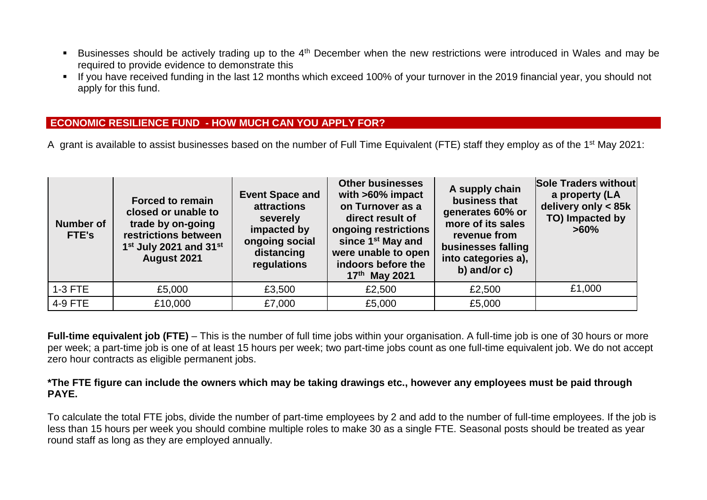- Businesses should be actively trading up to the 4<sup>th</sup> December when the new restrictions were introduced in Wales and may be required to provide evidence to demonstrate this
- If you have received funding in the last 12 months which exceed 100% of your turnover in the 2019 financial year, you should not apply for this fund.

#### **ECONOMIC RESILIENCE FUND - HOW MUCH CAN YOU APPLY FOR?**

A grant is available to assist businesses based on the number of Full Time Equivalent (FTE) staff they employ as of the 1st May 2021:

| Number of<br>FTE's | <b>Forced to remain</b><br>closed or unable to<br>trade by on-going<br>restrictions between<br>$1st$ July 2021 and 31 <sup>st</sup><br>August 2021 | <b>Event Space and</b><br><b>attractions</b><br>severely<br>impacted by<br>ongoing social<br>distancing<br>regulations | <b>Other businesses</b><br>with $>60\%$ impact<br>on Turnover as a<br>direct result of<br>ongoing restrictions<br>since 1 <sup>st</sup> May and<br>were unable to open<br>indoors before the<br>17th May 2021 | A supply chain<br>business that<br>generates 60% or<br>more of its sales<br>revenue from<br>businesses falling<br>into categories a),<br>b) and/or c) | <b>Sole Traders without</b><br>a property (LA<br>delivery only < 85k<br>TO) Impacted by<br>$>60\%$ |
|--------------------|----------------------------------------------------------------------------------------------------------------------------------------------------|------------------------------------------------------------------------------------------------------------------------|---------------------------------------------------------------------------------------------------------------------------------------------------------------------------------------------------------------|-------------------------------------------------------------------------------------------------------------------------------------------------------|----------------------------------------------------------------------------------------------------|
| $1-3$ FTE          | £5,000                                                                                                                                             | £3,500                                                                                                                 | £2,500                                                                                                                                                                                                        | £2,500                                                                                                                                                | £1,000                                                                                             |
| 4-9 FTE            | £10,000                                                                                                                                            | £7,000                                                                                                                 | £5,000                                                                                                                                                                                                        | £5,000                                                                                                                                                |                                                                                                    |

**Full-time equivalent job (FTE)** – This is the number of full time jobs within your organisation. A full-time job is one of 30 hours or more per week; a part-time job is one of at least 15 hours per week; two part-time jobs count as one full-time equivalent job. We do not accept zero hour contracts as eligible permanent jobs.

#### **\*The FTE figure can include the owners which may be taking drawings etc., however any employees must be paid through PAYE.**

To calculate the total FTE jobs, divide the number of part-time employees by 2 and add to the number of full-time employees. If the job is less than 15 hours per week you should combine multiple roles to make 30 as a single FTE. Seasonal posts should be treated as year round staff as long as they are employed annually.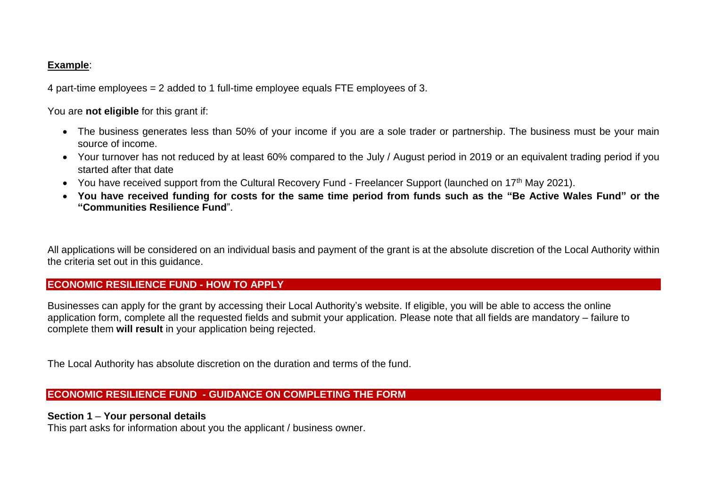## **Example**:

4 part-time employees = 2 added to 1 full-time employee equals FTE employees of 3.

You are **not eligible** for this grant if:

- The business generates less than 50% of your income if you are a sole trader or partnership. The business must be your main source of income.
- Your turnover has not reduced by at least 60% compared to the July / August period in 2019 or an equivalent trading period if you started after that date
- You have received support from the Cultural Recovery Fund Freelancer Support (launched on 17<sup>th</sup> May 2021).
- **You have received funding for costs for the same time period from funds such as the "Be Active Wales Fund" or the "Communities Resilience Fund**".

All applications will be considered on an individual basis and payment of the grant is at the absolute discretion of the Local Authority within the criteria set out in this guidance.

## **ECONOMIC RESILIENCE FUND - HOW TO APPLY**

Businesses can apply for the grant by accessing their Local Authority's website. If eligible, you will be able to access the online application form, complete all the requested fields and submit your application. Please note that all fields are mandatory – failure to complete them **will result** in your application being rejected.

The Local Authority has absolute discretion on the duration and terms of the fund.

## **ECONOMIC RESILIENCE FUND - GUIDANCE ON COMPLETING THE FORM**

#### **Section 1** – **Your personal details**

This part asks for information about you the applicant / business owner.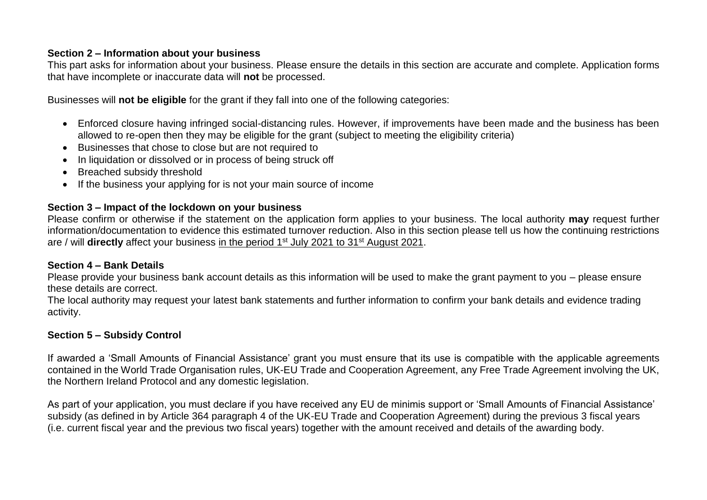#### **Section 2 – Information about your business**

This part asks for information about your business. Please ensure the details in this section are accurate and complete. Application forms that have incomplete or inaccurate data will **not** be processed.

Businesses will **not be eligible** for the grant if they fall into one of the following categories:

- Enforced closure having infringed social-distancing rules. However, if improvements have been made and the business has been allowed to re-open then they may be eligible for the grant (subject to meeting the eligibility criteria)
- Businesses that chose to close but are not required to
- In liquidation or dissolved or in process of being struck off
- Breached subsidy threshold
- If the business your applying for is not your main source of income

## **Section 3 – Impact of the lockdown on your business**

Please confirm or otherwise if the statement on the application form applies to your business. The local authority **may** request further information/documentation to evidence this estimated turnover reduction. Also in this section please tell us how the continuing restrictions are / will **directly** affect your business in the period 1<sup>st</sup> July 2021 to 31<sup>st</sup> August 2021.

#### **Section 4 – Bank Details**

Please provide your business bank account details as this information will be used to make the grant payment to you – please ensure these details are correct.

The local authority may request your latest bank statements and further information to confirm your bank details and evidence trading activity.

## **Section 5 – Subsidy Control**

If awarded a 'Small Amounts of Financial Assistance' grant you must ensure that its use is compatible with the applicable agreements contained in the World Trade Organisation rules, UK-EU Trade and Cooperation Agreement, any Free Trade Agreement involving the UK, the Northern Ireland Protocol and any domestic legislation.

As part of your application, you must declare if you have received any EU de minimis support or 'Small Amounts of Financial Assistance' subsidy (as defined in by Article 364 paragraph 4 of the UK-EU Trade and Cooperation Agreement) during the previous 3 fiscal years (i.e. current fiscal year and the previous two fiscal years) together with the amount received and details of the awarding body.